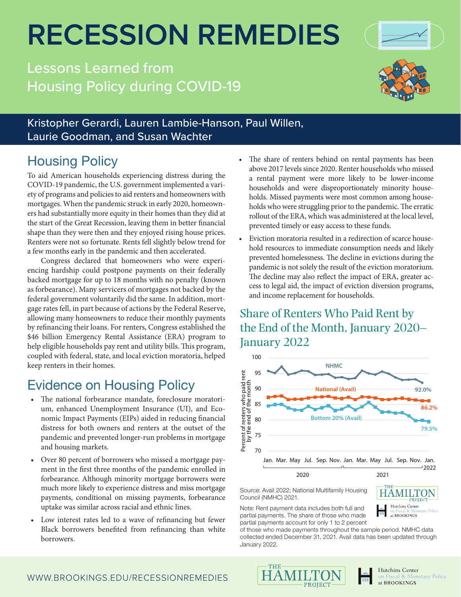# **RECESSION REMEDIES**

Kristopher Gerardi, Lauren Lambie-Hanson, Paul Willen,

Lessons Learned from Housing Policy during COVID-19

# To aid American households experiencing distress during the The share of renters behind on rental payments has been Laurie Goodman, and Susan Wachter

COVID-19 pandemic, the U.S. government implemented a variety of programs and policies to aid renters and homeowners with mortgages. When the pandemic struck in early 2020, homeowners had substantially more equity in their homes than they did at the start of the Great Recession, leaving them in better financial shape than they were then and they enjoyed rising house prices. Renters were not so fortunate. Rents fell slightly below trend for a few months early in the pandemic and then accelerated.

Housing Policy

Congress declared that homeowners who were experiencing hardship could postpone payments on their federally backed mortgage for up to 18 months with no penalty (known as forbearance). Many servicers of mortgages not backed by the federal government voluntarily did the same. In addition, mortgage rates fell, in part because of actions by the Federal Reserve, allowing many homeowners to reduce their monthly payments by refinancing their loans. For renters, Congress established the \$46 billion Emergency Rental Assistance (ERA) program to help eligible households pay rent and utility bills. This program, coupled with federal, state, and local eviction moratoria, helped keep renters in their homes.

## Evidence on Housing Policy

- The national forbearance mandate, foreclosure moratorium, enhanced Unemployment Insurance (UI), and Economic Impact Payments (EIPs) aided in reducing financial distress for both owners and renters at the outset of the pandemic and prevented longer-run problems in mortgage and housing markets.
- Over 80 percent of borrowers who missed a mortgage payment in the first three months of the pandemic enrolled in forbearance. Although minority mortgage borrowers were much more likely to experience distress and miss mortgage payments, conditional on missing payments, forbearance uptake was similar across racial and ethnic lines.
- Low interest rates led to a wave of refinancing but fewer Black borrowers benefited from refinancing than white borrowers.
- above 2017 levels since 2020. Renter households who missed a rental payment were more likely to be lower-income households and were disproportionately minority households. Missed payments were most common among households who were struggling prior to the pandemic. The erratic rollout of the ERA, which was administered at the local level, prevented timely or easy access to these funds.
- Eviction moratoria resulted in a redirection of scarce household resources to immediate consumption needs and likely prevented homelessness. The decline in evictions during the pandemic is not solely the result of the eviction moratorium. The decline may also reflect the impact of ERA, greater access to legal aid, the impact of eviction diversion programs, and income replacement for households.

#### Share of Renters Who Paid Rent by the End of the Month, January 2020– January 2022



Source: Avail 2022; National Multifamily Housing Council (NMHC) 2021.

Note: Rent payment data includes both full and partial payments. The share of those who made partial payments account for only 1 to 2 percent

of those who made payments throughout the sample period. NMHC data collected ended December 31, 2021. Avail data has been updated through January 2022.





**TOT** 

**HAMILTON** Hutchins Center

at BROOKINGS